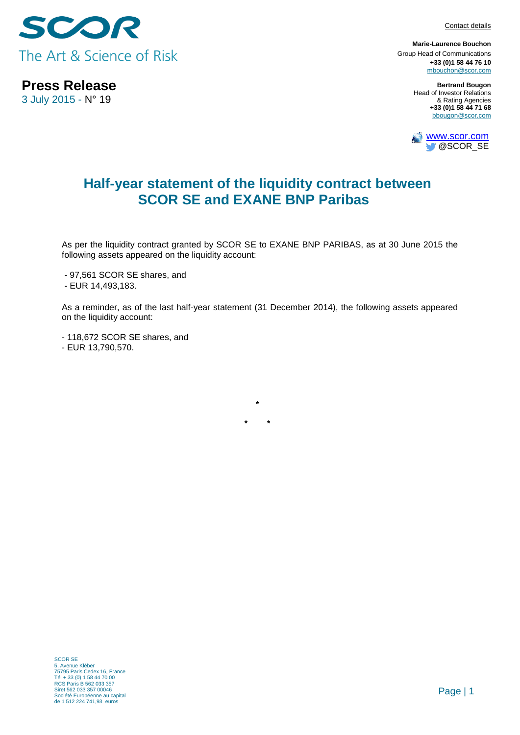SCOR The Art & Science of Risk

**Press Release** 3 July 2015 - N° 19

Contact details

**Marie-Laurence Bouchon** Group Head of Communications **+33 (0)1 58 44 76 10** [mbouchon@scor.com](mailto:mbouchon@scor.com)

> **Bertrand Bougon** Head of Investor Relations & Rating Agencies **+33 (0)1 58 44 71 68** bbougon@scor.com



## **Half-year statement of the liquidity contract between SCOR SE and EXANE BNP Paribas**

As per the liquidity contract granted by SCOR SE to EXANE BNP PARIBAS, as at 30 June 2015 the following assets appeared on the liquidity account:

- 97,561 SCOR SE shares, and

- EUR 14,493,183.

As a reminder, as of the last half-year statement (31 December 2014), the following assets appeared on the liquidity account:

**\***

**\* \*\*\*\*\* \***

- 118,672 SCOR SE shares, and - EUR 13,790,570.